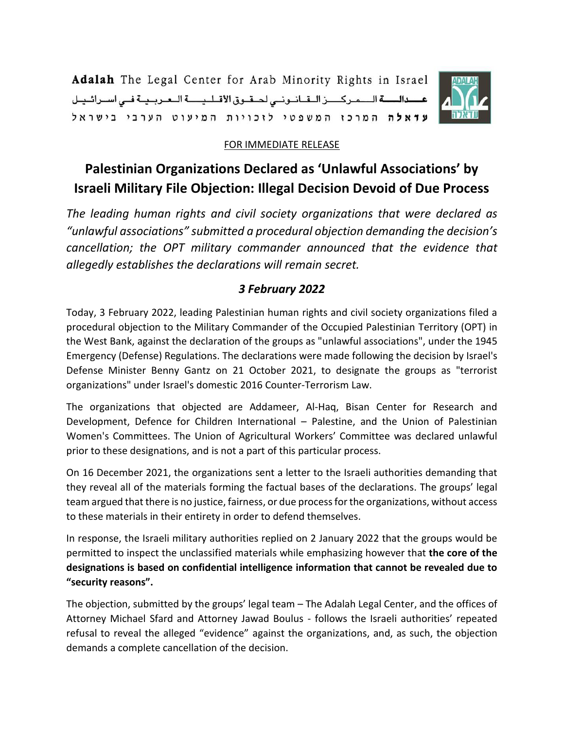Adalah The Legal Center for Arab Minority Rights in Israel عسدالسة المركر لقانوني لحقوق الأقلية العربية في اسرائيل עדאלה המרכו המשפטי לוכויות המיעוט הערבי בישראל



## FOR IMMEDIATE RELEASE

## **Palestinian Organizations Declared as 'Unlawful Associations' by Israeli Military File Objection: Illegal Decision Devoid of Due Process**

*The leading human rights and civil society organizations that were declared as "unlawful associations" submitted a procedural objection demanding the decision's cancellation; the OPT military commander announced that the evidence that allegedly establishes the declarations will remain secret.*

## *3 February 2022*

Today, 3 February 2022, leading Palestinian human rights and civil society organizations filed a procedural objection to the Military Commander of the Occupied Palestinian Territory (OPT) in the West Bank, against the declaration of the groups as "unlawful associations", under the 1945 Emergency (Defense) Regulations. The declarations were made following the decision by Israel's Defense Minister Benny Gantz on 21 October 2021, to designate the groups as "terrorist organizations" under Israel's domestic 2016 Counter-Terrorism Law.

The organizations that objected are Addameer, Al-Haq, Bisan Center for Research and Development, Defence for Children International – Palestine, and the Union of Palestinian Women's Committees. The Union of Agricultural Workers' Committee was declared unlawful prior to these designations, and is not a part of this particular process.

On 16 December 2021, the organizations sent a letter to the Israeli authorities demanding that they reveal all of the materials forming the factual bases of the declarations. The groups' legal team argued that there is no justice, fairness, or due process for the organizations, without access to these materials in their entirety in order to defend themselves.

In response, the Israeli military authorities replied on 2 January 2022 that the groups would be permitted to inspect the unclassified materials while emphasizing however that **the core of the designations is based on confidential intelligence information that cannot be revealed due to "security reasons".**

The objection, submitted by the groups' legal team – The Adalah Legal Center, and the offices of Attorney Michael Sfard and Attorney Jawad Boulus - follows the Israeli authorities' repeated refusal to reveal the alleged "evidence" against the organizations, and, as such, the objection demands a complete cancellation of the decision.